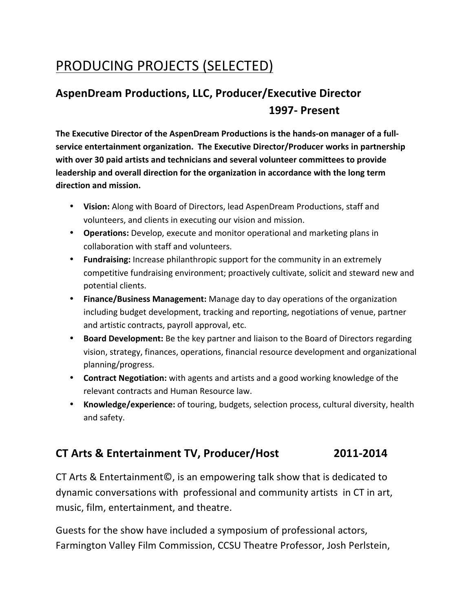## PRODUCING PROJECTS (SELECTED)

### **AspenDream Productions, LLC, Producer/Executive Director 1997- Present**

The Executive Director of the AspenDream Productions is the hands-on manager of a full**service entertainment organization. The Executive Director/Producer works in partnership** with over 30 paid artists and technicians and several volunteer committees to provide leadership and overall direction for the organization in accordance with the long term direction and mission.

- Vision: Along with Board of Directors, lead AspenDream Productions, staff and volunteers, and clients in executing our vision and mission.
- Operations: Develop, execute and monitor operational and marketing plans in collaboration with staff and volunteers.
- **Fundraising:** Increase philanthropic support for the community in an extremely competitive fundraising environment; proactively cultivate, solicit and steward new and potential clients.
- **Finance/Business Management:** Manage day to day operations of the organization including budget development, tracking and reporting, negotiations of venue, partner and artistic contracts, payroll approval, etc.
- Board Development: Be the key partner and liaison to the Board of Directors regarding vision, strategy, finances, operations, financial resource development and organizational planning/progress.
- **Contract Negotiation:** with agents and artists and a good working knowledge of the relevant contracts and Human Resource law.
- **Knowledge/experience:** of touring, budgets, selection process, cultural diversity, health and safety.

### **CT Arts & Entertainment TV, Producer/Host 2011-2014**

CT Arts & Entertainment©, is an empowering talk show that is dedicated to dynamic conversations with professional and community artists in CT in art, music, film, entertainment, and theatre.

Guests for the show have included a symposium of professional actors, Farmington Valley Film Commission, CCSU Theatre Professor, Josh Perlstein,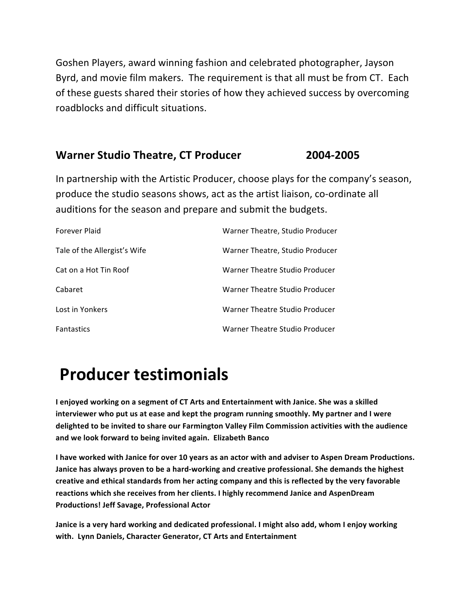Goshen Players, award winning fashion and celebrated photographer, Jayson Byrd, and movie film makers. The requirement is that all must be from CT. Each of these guests shared their stories of how they achieved success by overcoming roadblocks and difficult situations.

#### **Warner Studio Theatre, CT Producer 2004-2005**

In partnership with the Artistic Producer, choose plays for the company's season, produce the studio seasons shows, act as the artist liaison, co-ordinate all auditions for the season and prepare and submit the budgets.

| Forever Plaid                | Warner Theatre, Studio Producer |
|------------------------------|---------------------------------|
| Tale of the Allergist's Wife | Warner Theatre, Studio Producer |
| Cat on a Hot Tin Roof        | Warner Theatre Studio Producer  |
| Cabaret                      | Warner Theatre Studio Producer  |
| Lost in Yonkers              | Warner Theatre Studio Producer  |
| <b>Fantastics</b>            | Warner Theatre Studio Producer  |

# **Producer testimonials**

I enjoyed working on a segment of CT Arts and Entertainment with Janice. She was a skilled interviewer who put us at ease and kept the program running smoothly. My partner and I were delighted to be invited to share our Farmington Valley Film Commission activities with the audience and we look forward to being invited again. Elizabeth Banco

I have worked with Janice for over 10 years as an actor with and adviser to Aspen Dream Productions. Janice has always proven to be a hard-working and creative professional. She demands the highest creative and ethical standards from her acting company and this is reflected by the very favorable reactions which she receives from her clients. I highly recommend Janice and AspenDream **Productions! Jeff Savage, Professional Actor**

Janice is a very hard working and dedicated professional. I might also add, whom I enjoy working with. Lynn Daniels, Character Generator, CT Arts and Entertainment